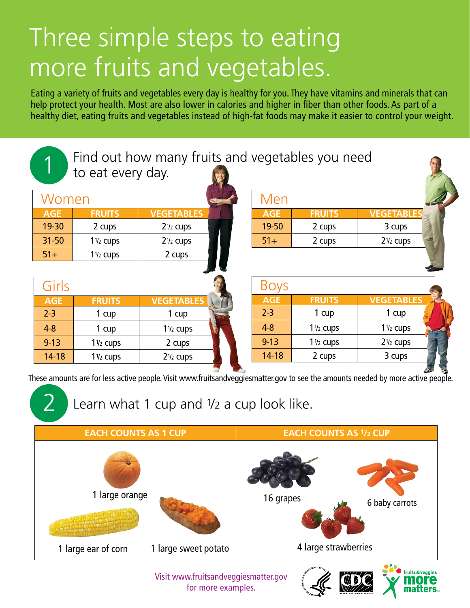# Three simple steps to eating more fruits and vegetables.

Eating a variety of fruits and vegetables every day is healthy for you. They have vitamins and minerals that can help protect your health. Most are also lower in calories and higher in fiber than other foods. As part of a healthy diet, eating fruits and vegetables instead of high-fat foods may make it easier to control your weight.





1 large orange

16 grapes

6 baby carrots

*<u>Struits & veggies</u>*